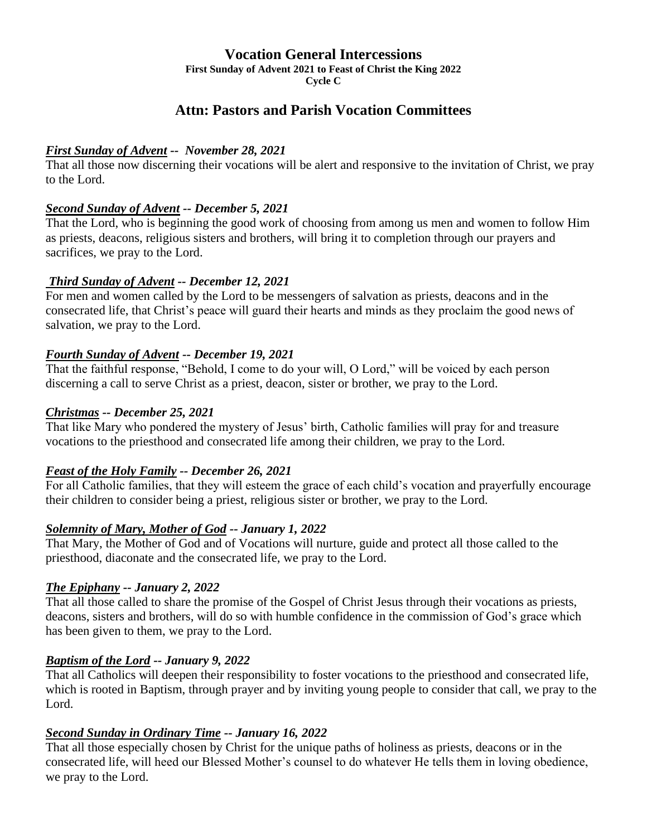## **Vocation General Intercessions**

**First Sunday of Advent 2021 to Feast of Christ the King 2022**

**Cycle C**

# **Attn: Pastors and Parish Vocation Committees**

## *First Sunday of Advent -- November 28, 2021*

That all those now discerning their vocations will be alert and responsive to the invitation of Christ, we pray to the Lord.

### *Second Sunday of Advent -- December 5, 2021*

That the Lord, who is beginning the good work of choosing from among us men and women to follow Him as priests, deacons, religious sisters and brothers, will bring it to completion through our prayers and sacrifices, we pray to the Lord.

## *Third Sunday of Advent -- December 12, 2021*

For men and women called by the Lord to be messengers of salvation as priests, deacons and in the consecrated life, that Christ's peace will guard their hearts and minds as they proclaim the good news of salvation, we pray to the Lord.

### *Fourth Sunday of Advent -- December 19, 2021*

That the faithful response, "Behold, I come to do your will, O Lord," will be voiced by each person discerning a call to serve Christ as a priest, deacon, sister or brother, we pray to the Lord.

### *Christmas -- December 25, 2021*

That like Mary who pondered the mystery of Jesus' birth, Catholic families will pray for and treasure vocations to the priesthood and consecrated life among their children, we pray to the Lord.

## *Feast of the Holy Family -- December 26, 2021*

For all Catholic families, that they will esteem the grace of each child's vocation and prayerfully encourage their children to consider being a priest, religious sister or brother, we pray to the Lord.

## *Solemnity of Mary, Mother of God -- January 1, 2022*

That Mary, the Mother of God and of Vocations will nurture, guide and protect all those called to the priesthood, diaconate and the consecrated life, we pray to the Lord.

## *The Epiphany -- January 2, 2022*

That all those called to share the promise of the Gospel of Christ Jesus through their vocations as priests, deacons, sisters and brothers, will do so with humble confidence in the commission of God's grace which has been given to them, we pray to the Lord.

## *Baptism of the Lord -- January 9, 2022*

That all Catholics will deepen their responsibility to foster vocations to the priesthood and consecrated life, which is rooted in Baptism, through prayer and by inviting young people to consider that call, we pray to the Lord.

## *Second Sunday in Ordinary Time -- January 16, 2022*

That all those especially chosen by Christ for the unique paths of holiness as priests, deacons or in the consecrated life, will heed our Blessed Mother's counsel to do whatever He tells them in loving obedience, we pray to the Lord.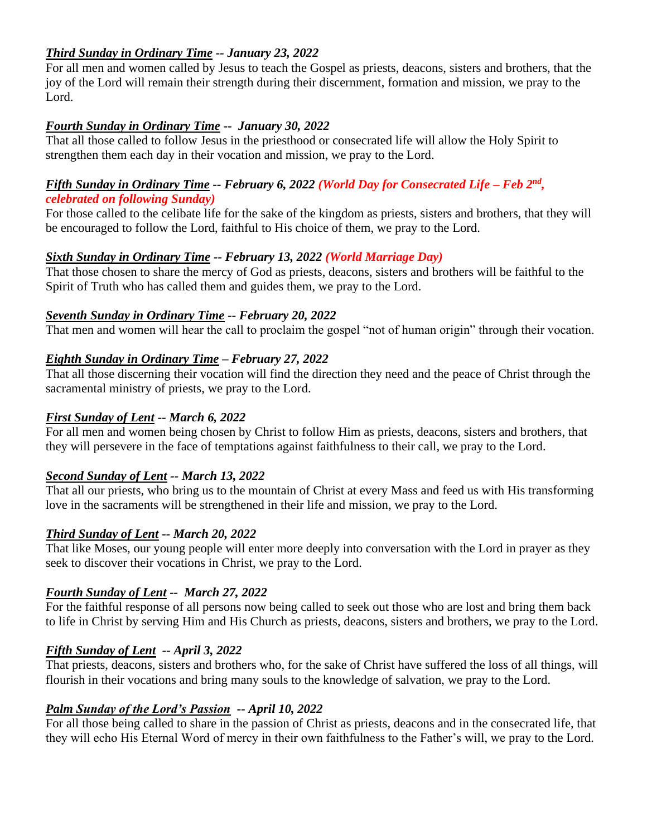### *Third Sunday in Ordinary Time -- January 23, 2022*

For all men and women called by Jesus to teach the Gospel as priests, deacons, sisters and brothers, that the joy of the Lord will remain their strength during their discernment, formation and mission, we pray to the Lord.

#### *Fourth Sunday in Ordinary Time -- January 30, 2022*

That all those called to follow Jesus in the priesthood or consecrated life will allow the Holy Spirit to strengthen them each day in their vocation and mission, we pray to the Lord.

#### *Fifth Sunday in Ordinary Time -- February 6, 2022 (World Day for Consecrated Life – Feb 2 nd , celebrated on following Sunday)*

For those called to the celibate life for the sake of the kingdom as priests, sisters and brothers, that they will be encouraged to follow the Lord, faithful to His choice of them, we pray to the Lord.

### *Sixth Sunday in Ordinary Time -- February 13, 2022 (World Marriage Day)*

That those chosen to share the mercy of God as priests, deacons, sisters and brothers will be faithful to the Spirit of Truth who has called them and guides them, we pray to the Lord.

#### *Seventh Sunday in Ordinary Time -- February 20, 2022*

That men and women will hear the call to proclaim the gospel "not of human origin" through their vocation.

#### *Eighth Sunday in Ordinary Time – February 27, 2022*

That all those discerning their vocation will find the direction they need and the peace of Christ through the sacramental ministry of priests, we pray to the Lord.

#### *First Sunday of Lent -- March 6, 2022*

For all men and women being chosen by Christ to follow Him as priests, deacons, sisters and brothers, that they will persevere in the face of temptations against faithfulness to their call, we pray to the Lord.

#### *Second Sunday of Lent -- March 13, 2022*

That all our priests, who bring us to the mountain of Christ at every Mass and feed us with His transforming love in the sacraments will be strengthened in their life and mission, we pray to the Lord.

#### *Third Sunday of Lent -- March 20, 2022*

That like Moses, our young people will enter more deeply into conversation with the Lord in prayer as they seek to discover their vocations in Christ, we pray to the Lord.

#### *Fourth Sunday of Lent -- March 27, 2022*

For the faithful response of all persons now being called to seek out those who are lost and bring them back to life in Christ by serving Him and His Church as priests, deacons, sisters and brothers, we pray to the Lord.

#### *Fifth Sunday of Lent -- April 3, 2022*

That priests, deacons, sisters and brothers who, for the sake of Christ have suffered the loss of all things, will flourish in their vocations and bring many souls to the knowledge of salvation, we pray to the Lord.

#### *Palm Sunday of the Lord's Passion -- April 10, 2022*

For all those being called to share in the passion of Christ as priests, deacons and in the consecrated life, that they will echo His Eternal Word of mercy in their own faithfulness to the Father's will, we pray to the Lord.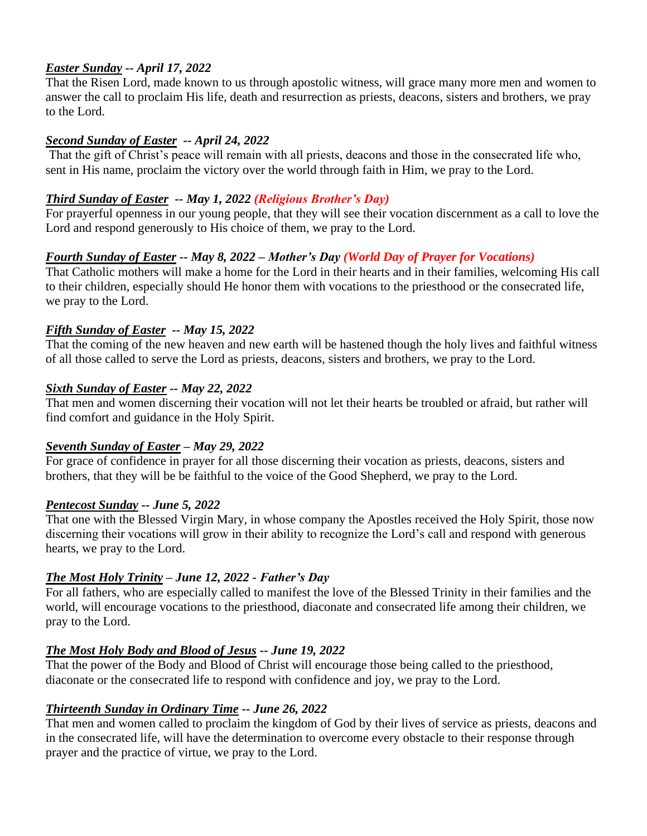### *Easter Sunday -- April 17, 2022*

That the Risen Lord, made known to us through apostolic witness, will grace many more men and women to answer the call to proclaim His life, death and resurrection as priests, deacons, sisters and brothers, we pray to the Lord.

#### *Second Sunday of Easter -- April 24, 2022*

That the gift of Christ's peace will remain with all priests, deacons and those in the consecrated life who, sent in His name, proclaim the victory over the world through faith in Him, we pray to the Lord.

### *Third Sunday of Easter -- May 1, 2022 (Religious Brother's Day)*

For prayerful openness in our young people, that they will see their vocation discernment as a call to love the Lord and respond generously to His choice of them, we pray to the Lord.

## *Fourth Sunday of Easter -- May 8, 2022 – Mother's Day (World Day of Prayer for Vocations)*

That Catholic mothers will make a home for the Lord in their hearts and in their families, welcoming His call to their children, especially should He honor them with vocations to the priesthood or the consecrated life, we pray to the Lord.

### *Fifth Sunday of Easter -- May 15, 2022*

That the coming of the new heaven and new earth will be hastened though the holy lives and faithful witness of all those called to serve the Lord as priests, deacons, sisters and brothers, we pray to the Lord.

### *Sixth Sunday of Easter -- May 22, 2022*

That men and women discerning their vocation will not let their hearts be troubled or afraid, but rather will find comfort and guidance in the Holy Spirit.

## *Seventh Sunday of Easter – May 29, 2022*

For grace of confidence in prayer for all those discerning their vocation as priests, deacons, sisters and brothers, that they will be be faithful to the voice of the Good Shepherd, we pray to the Lord.

#### *Pentecost Sunday -- June 5, 2022*

That one with the Blessed Virgin Mary, in whose company the Apostles received the Holy Spirit, those now discerning their vocations will grow in their ability to recognize the Lord's call and respond with generous hearts, we pray to the Lord.

## *The Most Holy Trinity – June 12, 2022 - Father's Day*

For all fathers, who are especially called to manifest the love of the Blessed Trinity in their families and the world, will encourage vocations to the priesthood, diaconate and consecrated life among their children, we pray to the Lord.

## *The Most Holy Body and Blood of Jesus -- June 19, 2022*

That the power of the Body and Blood of Christ will encourage those being called to the priesthood, diaconate or the consecrated life to respond with confidence and joy, we pray to the Lord.

## *Thirteenth Sunday in Ordinary Time -- June 26, 2022*

That men and women called to proclaim the kingdom of God by their lives of service as priests, deacons and in the consecrated life, will have the determination to overcome every obstacle to their response through prayer and the practice of virtue, we pray to the Lord.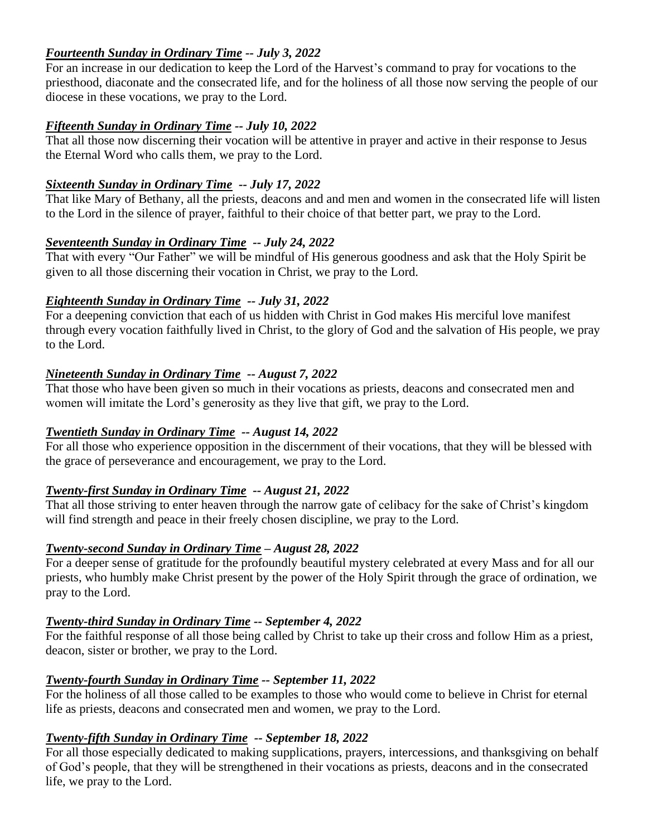### *Fourteenth Sunday in Ordinary Time -- July 3, 2022*

For an increase in our dedication to keep the Lord of the Harvest's command to pray for vocations to the priesthood, diaconate and the consecrated life, and for the holiness of all those now serving the people of our diocese in these vocations, we pray to the Lord.

#### *Fifteenth Sunday in Ordinary Time -- July 10, 2022*

That all those now discerning their vocation will be attentive in prayer and active in their response to Jesus the Eternal Word who calls them, we pray to the Lord.

### *Sixteenth Sunday in Ordinary Time -- July 17, 2022*

That like Mary of Bethany, all the priests, deacons and and men and women in the consecrated life will listen to the Lord in the silence of prayer, faithful to their choice of that better part, we pray to the Lord.

#### *Seventeenth Sunday in Ordinary Time -- July 24, 2022*

That with every "Our Father" we will be mindful of His generous goodness and ask that the Holy Spirit be given to all those discerning their vocation in Christ, we pray to the Lord.

### *Eighteenth Sunday in Ordinary Time -- July 31, 2022*

For a deepening conviction that each of us hidden with Christ in God makes His merciful love manifest through every vocation faithfully lived in Christ, to the glory of God and the salvation of His people, we pray to the Lord.

## *Nineteenth Sunday in Ordinary Time -- August 7, 2022*

That those who have been given so much in their vocations as priests, deacons and consecrated men and women will imitate the Lord's generosity as they live that gift, we pray to the Lord.

## *Twentieth Sunday in Ordinary Time -- August 14, 2022*

For all those who experience opposition in the discernment of their vocations, that they will be blessed with the grace of perseverance and encouragement, we pray to the Lord.

## *Twenty-first Sunday in Ordinary Time -- August 21, 2022*

That all those striving to enter heaven through the narrow gate of celibacy for the sake of Christ's kingdom will find strength and peace in their freely chosen discipline, we pray to the Lord.

#### *Twenty-second Sunday in Ordinary Time – August 28, 2022*

For a deeper sense of gratitude for the profoundly beautiful mystery celebrated at every Mass and for all our priests, who humbly make Christ present by the power of the Holy Spirit through the grace of ordination, we pray to the Lord.

## *Twenty-third Sunday in Ordinary Time -- September 4, 2022*

For the faithful response of all those being called by Christ to take up their cross and follow Him as a priest, deacon, sister or brother, we pray to the Lord.

## *Twenty-fourth Sunday in Ordinary Time -- September 11, 2022*

For the holiness of all those called to be examples to those who would come to believe in Christ for eternal life as priests, deacons and consecrated men and women, we pray to the Lord.

## *Twenty-fifth Sunday in Ordinary Time -- September 18, 2022*

For all those especially dedicated to making supplications, prayers, intercessions, and thanksgiving on behalf of God's people, that they will be strengthened in their vocations as priests, deacons and in the consecrated life, we pray to the Lord.